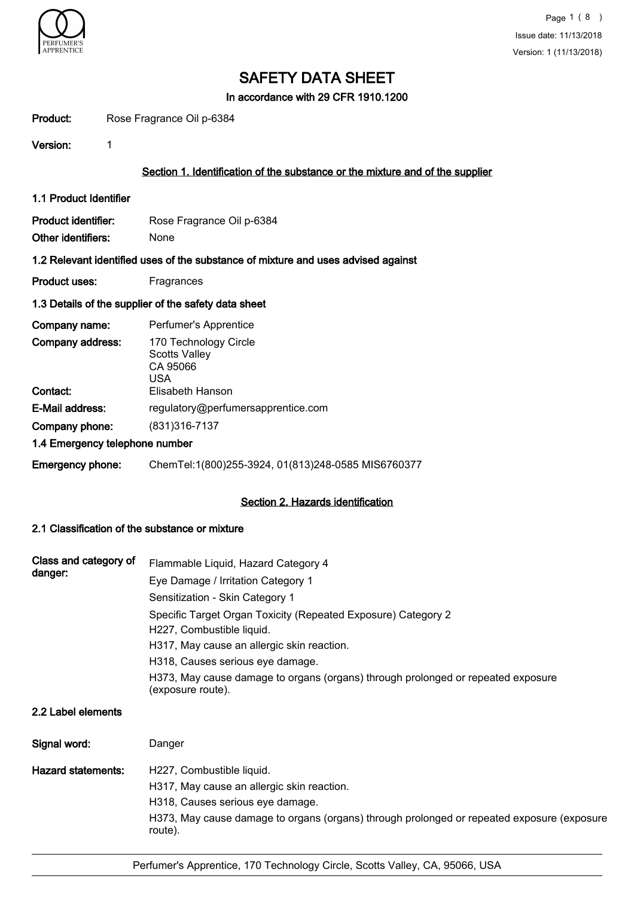

In accordance with 29 CFR 1910.1200

| Product:                                             | Rose Fragrance Oil p-6384                                                         |  |  |  |
|------------------------------------------------------|-----------------------------------------------------------------------------------|--|--|--|
| Version:                                             | 1                                                                                 |  |  |  |
|                                                      | Section 1. Identification of the substance or the mixture and of the supplier     |  |  |  |
| 1.1 Product Identifier                               |                                                                                   |  |  |  |
| Product identifier:<br>Other identifiers:            | Rose Fragrance Oil p-6384<br>None                                                 |  |  |  |
|                                                      | 1.2 Relevant identified uses of the substance of mixture and uses advised against |  |  |  |
| <b>Product uses:</b>                                 | Fragrances                                                                        |  |  |  |
| 1.3 Details of the supplier of the safety data sheet |                                                                                   |  |  |  |
| Company name:                                        | Perfumer's Apprentice                                                             |  |  |  |
| Company address:                                     | 170 Technology Circle<br><b>Scotts Valley</b><br>CA 95066<br>USA.                 |  |  |  |
| Contact:                                             | Elisabeth Hanson                                                                  |  |  |  |
| E-Mail address:                                      | regulatory@perfumersapprentice.com                                                |  |  |  |
| Company phone:                                       | (831) 316-7137                                                                    |  |  |  |
|                                                      | 1.4 Emergency telephone number                                                    |  |  |  |
| <b>Emergency phone:</b>                              | ChemTel:1(800)255-3924, 01(813)248-0585 MIS6760377                                |  |  |  |

## Section 2. Hazards identification

## 2.1 Classification of the substance or mixture

| Class and category of     | Flammable Liquid, Hazard Category 4                                                                   |  |  |  |  |  |
|---------------------------|-------------------------------------------------------------------------------------------------------|--|--|--|--|--|
| danger:                   | Eye Damage / Irritation Category 1                                                                    |  |  |  |  |  |
|                           | Sensitization - Skin Category 1                                                                       |  |  |  |  |  |
|                           | Specific Target Organ Toxicity (Repeated Exposure) Category 2                                         |  |  |  |  |  |
|                           | H227, Combustible liquid.                                                                             |  |  |  |  |  |
|                           | H317, May cause an allergic skin reaction.                                                            |  |  |  |  |  |
|                           | H318, Causes serious eye damage.                                                                      |  |  |  |  |  |
|                           | H373, May cause damage to organs (organs) through prolonged or repeated exposure<br>(exposure route). |  |  |  |  |  |
| 2.2 Label elements        |                                                                                                       |  |  |  |  |  |
| Signal word:              | Danger                                                                                                |  |  |  |  |  |
| <b>Hazard statements:</b> | H227, Combustible liquid.                                                                             |  |  |  |  |  |
|                           | H317, May cause an allergic skin reaction.                                                            |  |  |  |  |  |
|                           | H318, Causes serious eye damage.                                                                      |  |  |  |  |  |
|                           | H373, May cause damage to organs (organs) through prolonged or repeated exposure (exposure<br>route). |  |  |  |  |  |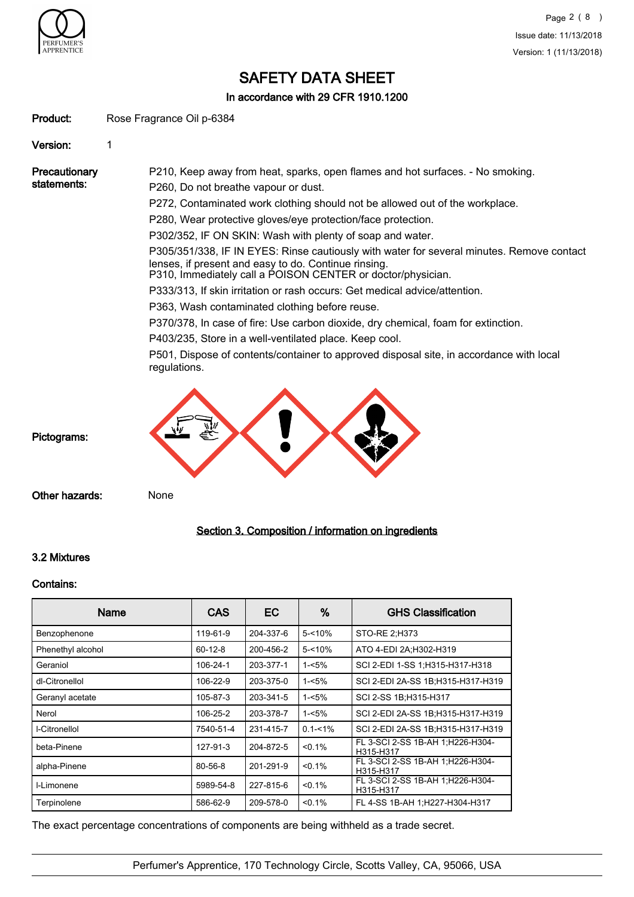

In accordance with 29 CFR 1910.1200

Product: Rose Fragrance Oil p-6384

Version: 1

**Precautionary** statements: P210, Keep away from heat, sparks, open flames and hot surfaces. - No smoking. P260, Do not breathe vapour or dust. P272, Contaminated work clothing should not be allowed out of the workplace. P280, Wear protective gloves/eye protection/face protection. P302/352, IF ON SKIN: Wash with plenty of soap and water. P305/351/338, IF IN EYES: Rinse cautiously with water for several minutes. Remove contact lenses, if present and easy to do. Continue rinsing. P310, Immediately call a POISON CENTER or doctor/physician. P333/313, If skin irritation or rash occurs: Get medical advice/attention. P363, Wash contaminated clothing before reuse. P370/378, In case of fire: Use carbon dioxide, dry chemical, foam for extinction. P403/235, Store in a well-ventilated place. Keep cool. P501, Dispose of contents/container to approved disposal site, in accordance with local regulations.

Pictograms:

Other hazards: None

## Section 3. Composition / information on ingredients

## 3.2 Mixtures

#### Contains:

| <b>Name</b>       | <b>CAS</b>    | EC        | %           | <b>GHS Classification</b>                      |
|-------------------|---------------|-----------|-------------|------------------------------------------------|
| Benzophenone      | 119-61-9      | 204-337-6 | $5 - 10%$   | STO-RE 2;H373                                  |
| Phenethyl alcohol | $60 - 12 - 8$ | 200-456-2 | $5 - 10%$   | ATO 4-EDI 2A; H302-H319                        |
| Geraniol          | 106-24-1      | 203-377-1 | $1 - 5%$    | SCI 2-EDI 1-SS 1:H315-H317-H318                |
| dl-Citronellol    | 106-22-9      | 203-375-0 | $1 - 5%$    | SCI 2-EDI 2A-SS 1B;H315-H317-H319              |
| Geranyl acetate   | 105-87-3      | 203-341-5 | $1 - 5%$    | SCI 2-SS 1B; H315-H317                         |
| Nerol             | 106-25-2      | 203-378-7 | $1 - 5%$    | SCI 2-EDI 2A-SS 1B;H315-H317-H319              |
| I-Citronellol     | 7540-51-4     | 231-415-7 | $0.1 - 1\%$ | SCI 2-EDI 2A-SS 1B:H315-H317-H319              |
| beta-Pinene       | 127-91-3      | 204-872-5 | < 0.1%      | FL 3-SCI 2-SS 1B-AH 1; H226-H304-<br>H315-H317 |
| alpha-Pinene      | 80-56-8       | 201-291-9 | $< 0.1\%$   | FL 3-SCI 2-SS 1B-AH 1:H226-H304-<br>H315-H317  |
| I-Limonene        | 5989-54-8     | 227-815-6 | $< 0.1\%$   | FL 3-SCI 2-SS 1B-AH 1;H226-H304-<br>H315-H317  |
| Terpinolene       | 586-62-9      | 209-578-0 | < 0.1%      | FL 4-SS 1B-AH 1:H227-H304-H317                 |

The exact percentage concentrations of components are being withheld as a trade secret.

Perfumer's Apprentice, 170 Technology Circle, Scotts Valley, CA, 95066, USA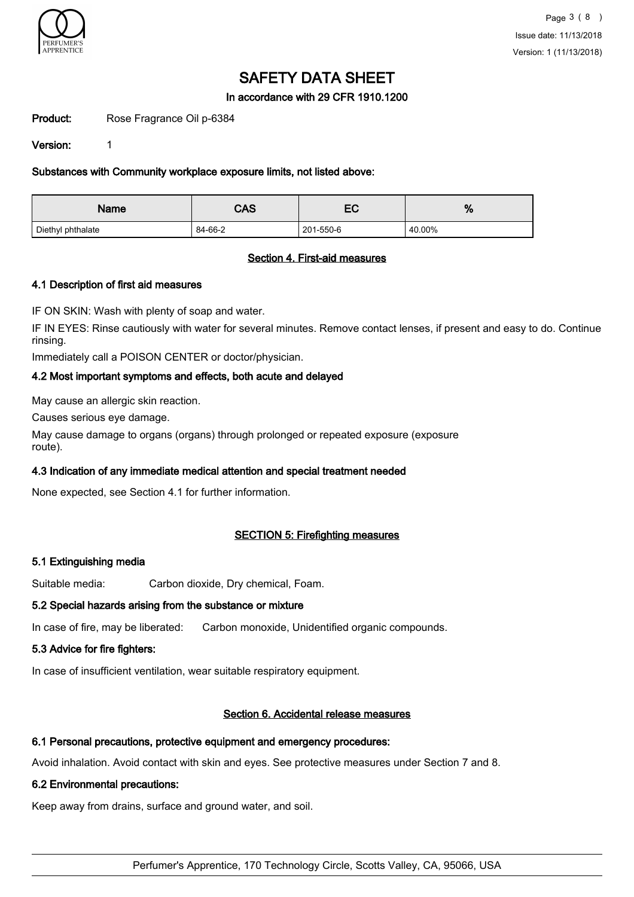

## In accordance with 29 CFR 1910.1200

Product: Rose Fragrance Oil p-6384

Version: 1

Substances with Community workplace exposure limits, not listed above:

| CAS<br><b>Name</b> |         | ี         | 70     |
|--------------------|---------|-----------|--------|
| Diethyl phthalate  | 84-66-2 | 201-550-6 | 40.00% |

## Section 4. First-aid measures

## 4.1 Description of first aid measures

IF ON SKIN: Wash with plenty of soap and water.

IF IN EYES: Rinse cautiously with water for several minutes. Remove contact lenses, if present and easy to do. Continue rinsing.

Immediately call a POISON CENTER or doctor/physician.

## 4.2 Most important symptoms and effects, both acute and delayed

May cause an allergic skin reaction.

Causes serious eye damage.

May cause damage to organs (organs) through prolonged or repeated exposure (exposure route).

## 4.3 Indication of any immediate medical attention and special treatment needed

None expected, see Section 4.1 for further information.

## SECTION 5: Firefighting measures

### 5.1 Extinguishing media

Suitable media: Carbon dioxide, Dry chemical, Foam.

### 5.2 Special hazards arising from the substance or mixture

In case of fire, may be liberated: Carbon monoxide, Unidentified organic compounds.

### 5.3 Advice for fire fighters:

In case of insufficient ventilation, wear suitable respiratory equipment.

### Section 6. Accidental release measures

### 6.1 Personal precautions, protective equipment and emergency procedures:

Avoid inhalation. Avoid contact with skin and eyes. See protective measures under Section 7 and 8.

### 6.2 Environmental precautions:

Keep away from drains, surface and ground water, and soil.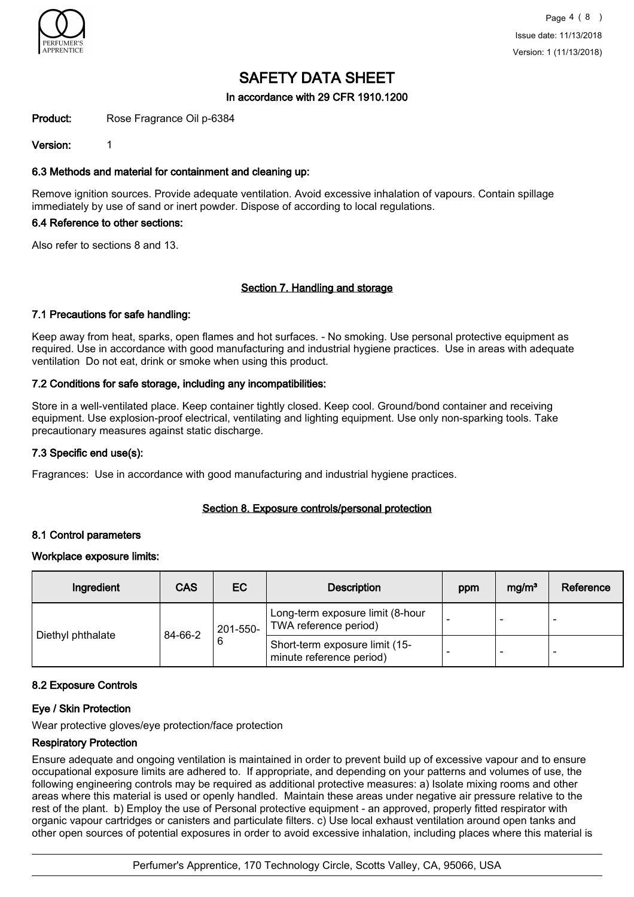

## In accordance with 29 CFR 1910.1200

Product: Rose Fragrance Oil p-6384

Version: 1

### 6.3 Methods and material for containment and cleaning up:

Remove ignition sources. Provide adequate ventilation. Avoid excessive inhalation of vapours. Contain spillage immediately by use of sand or inert powder. Dispose of according to local regulations.

### 6.4 Reference to other sections:

Also refer to sections 8 and 13.

### Section 7. Handling and storage

### 7.1 Precautions for safe handling:

Keep away from heat, sparks, open flames and hot surfaces. - No smoking. Use personal protective equipment as required. Use in accordance with good manufacturing and industrial hygiene practices. Use in areas with adequate ventilation Do not eat, drink or smoke when using this product.

## 7.2 Conditions for safe storage, including any incompatibilities:

Store in a well-ventilated place. Keep container tightly closed. Keep cool. Ground/bond container and receiving equipment. Use explosion-proof electrical, ventilating and lighting equipment. Use only non-sparking tools. Take precautionary measures against static discharge.

### 7.3 Specific end use(s):

Fragrances: Use in accordance with good manufacturing and industrial hygiene practices.

### Section 8. Exposure controls/personal protection

### 8.1 Control parameters

### Workplace exposure limits:

| Ingredient        | <b>CAS</b>               | EC.                                                        | <b>Description</b>                                        | ppm | mg/m <sup>3</sup> | Reference |
|-------------------|--------------------------|------------------------------------------------------------|-----------------------------------------------------------|-----|-------------------|-----------|
| Diethyl phthalate | 201-550-<br>84-66-2<br>6 |                                                            | Long-term exposure limit (8-hour<br>TWA reference period) |     | -                 |           |
|                   |                          | Short-term exposure limit (15-<br>minute reference period) |                                                           | -   | -                 |           |

### 8.2 Exposure Controls

### Eye / Skin Protection

Wear protective gloves/eye protection/face protection

### Respiratory Protection

Ensure adequate and ongoing ventilation is maintained in order to prevent build up of excessive vapour and to ensure occupational exposure limits are adhered to. If appropriate, and depending on your patterns and volumes of use, the following engineering controls may be required as additional protective measures: a) Isolate mixing rooms and other areas where this material is used or openly handled. Maintain these areas under negative air pressure relative to the rest of the plant. b) Employ the use of Personal protective equipment - an approved, properly fitted respirator with organic vapour cartridges or canisters and particulate filters. c) Use local exhaust ventilation around open tanks and other open sources of potential exposures in order to avoid excessive inhalation, including places where this material is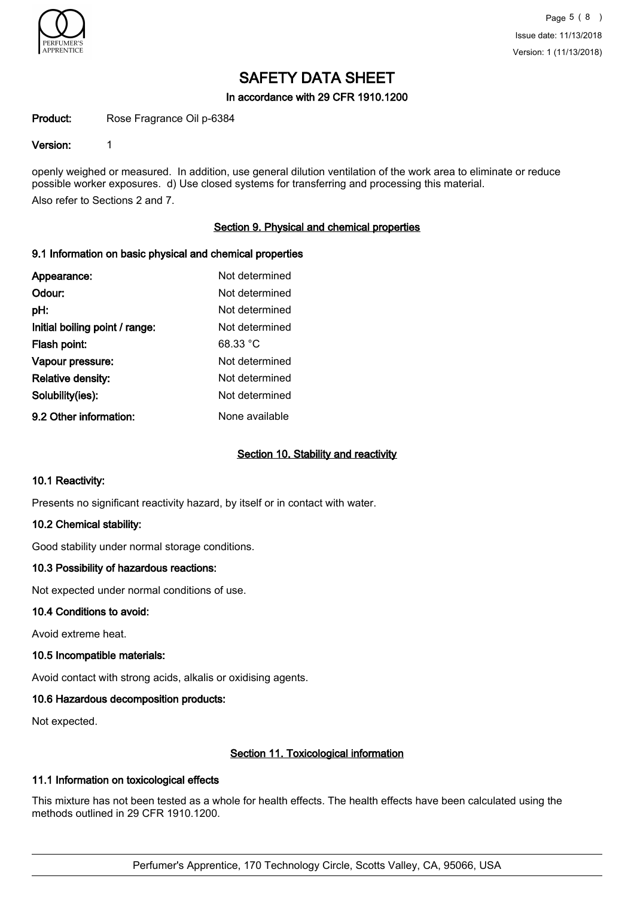

#### In accordance with 29 CFR 1910.1200

Product: Rose Fragrance Oil p-6384

#### Version: 1

openly weighed or measured. In addition, use general dilution ventilation of the work area to eliminate or reduce possible worker exposures. d) Use closed systems for transferring and processing this material. Also refer to Sections 2 and 7.

### Section 9. Physical and chemical properties

#### 9.1 Information on basic physical and chemical properties

| Appearance:                    | Not determined |
|--------------------------------|----------------|
| Odour:                         | Not determined |
| pH:                            | Not determined |
| Initial boiling point / range: | Not determined |
| Flash point:                   | 68.33 °C       |
| Vapour pressure:               | Not determined |
| Relative density:              | Not determined |
| Solubility(ies):               | Not determined |
| 9.2 Other information:         | None available |

#### Section 10. Stability and reactivity

#### 10.1 Reactivity:

Presents no significant reactivity hazard, by itself or in contact with water.

#### 10.2 Chemical stability:

Good stability under normal storage conditions.

### 10.3 Possibility of hazardous reactions:

Not expected under normal conditions of use.

#### 10.4 Conditions to avoid:

Avoid extreme heat.

#### 10.5 Incompatible materials:

Avoid contact with strong acids, alkalis or oxidising agents.

### 10.6 Hazardous decomposition products:

Not expected.

### Section 11. Toxicological information

### 11.1 Information on toxicological effects

This mixture has not been tested as a whole for health effects. The health effects have been calculated using the methods outlined in 29 CFR 1910.1200.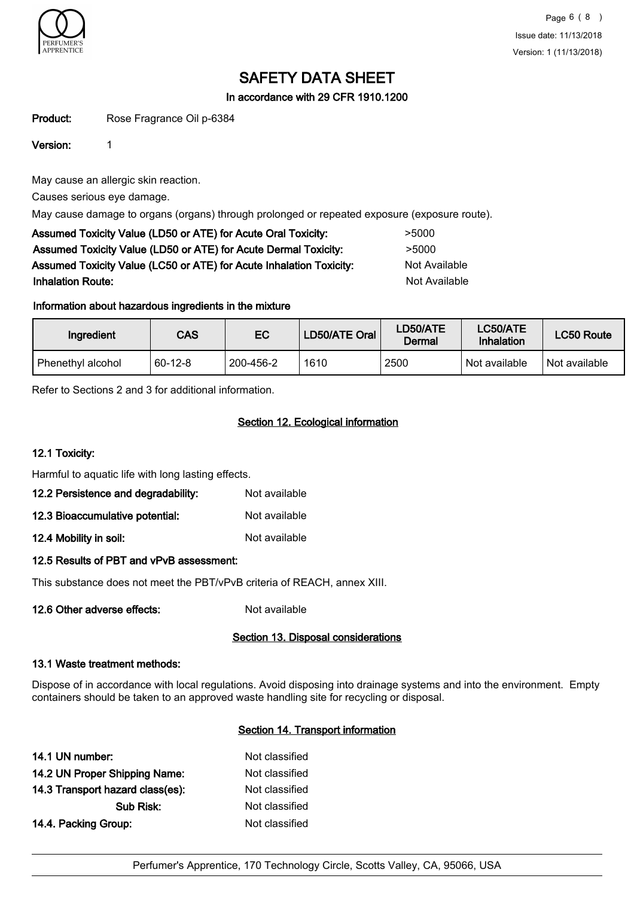

In accordance with 29 CFR 1910.1200

Product: Rose Fragrance Oil p-6384

Version: 1

May cause an allergic skin reaction.

Causes serious eye damage.

May cause damage to organs (organs) through prolonged or repeated exposure (exposure route).

| Assumed Toxicity Value (LD50 or ATE) for Acute Oral Toxicity:       | >5000         |
|---------------------------------------------------------------------|---------------|
| Assumed Toxicity Value (LD50 or ATE) for Acute Dermal Toxicity:     | >5000         |
| Assumed Toxicity Value (LC50 or ATE) for Acute Inhalation Toxicity: | Not Available |
| <b>Inhalation Route:</b>                                            | Not Available |

## Information about hazardous ingredients in the mixture

| Ingredient        | CAS       | EC        | LD50/ATE Oral | LD50/ATE<br>Dermal | LC50/ATE<br>Inhalation | LC50 Route    |
|-------------------|-----------|-----------|---------------|--------------------|------------------------|---------------|
| Phenethyl alcohol | $60-12-8$ | 200-456-2 | 1610          | 2500               | Not available          | Not available |

Refer to Sections 2 and 3 for additional information.

## Section 12. Ecological information

## 12.1 Toxicity:

Harmful to aquatic life with long lasting effects.

| 12.2 Persistence and degradability: | Not available |
|-------------------------------------|---------------|
|-------------------------------------|---------------|

- 12.3 Bioaccumulative potential: Not available
- 12.4 Mobility in soil: Not available

## 12.5 Results of PBT and vPvB assessment:

This substance does not meet the PBT/vPvB criteria of REACH, annex XIII.

12.6 Other adverse effects: Not available

### Section 13. Disposal considerations

### 13.1 Waste treatment methods:

Dispose of in accordance with local regulations. Avoid disposing into drainage systems and into the environment. Empty containers should be taken to an approved waste handling site for recycling or disposal.

### Section 14. Transport information

| Not classified |
|----------------|
| Not classified |
| Not classified |
| Not classified |
| Not classified |
|                |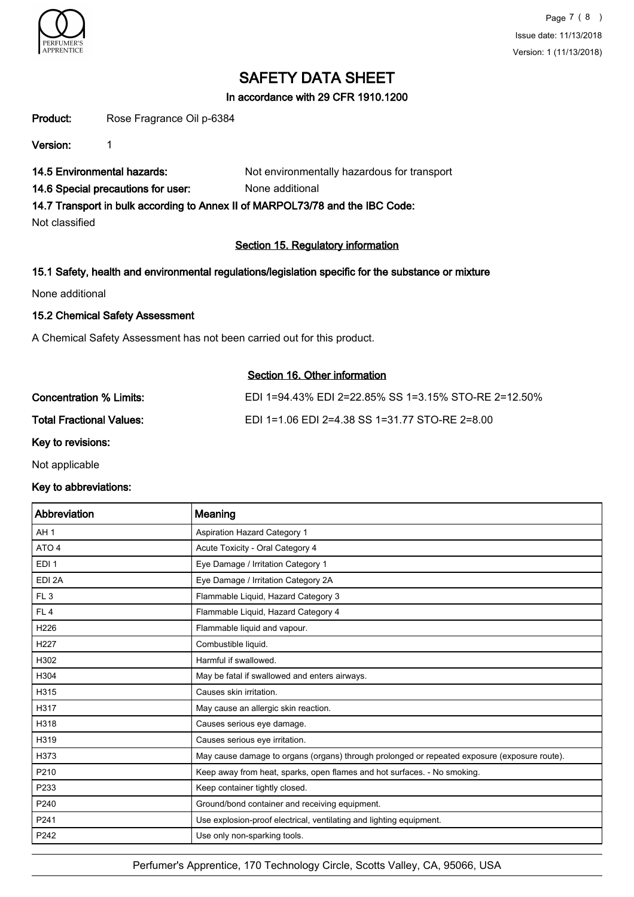

In accordance with 29 CFR 1910.1200

Product: Rose Fragrance Oil p-6384

Version: 1

14.5 Environmental hazards: Not environmentally hazardous for transport

14.6 Special precautions for user: None additional

14.7 Transport in bulk according to Annex II of MARPOL73/78 and the IBC Code:

Not classified

## Section 15. Regulatory information

## 15.1 Safety, health and environmental regulations/legislation specific for the substance or mixture

None additional

## 15.2 Chemical Safety Assessment

A Chemical Safety Assessment has not been carried out for this product.

## Section 16. Other information

| Concentration % Limits:         | EDI 1=94.43% EDI 2=22.85% SS 1=3.15% STO-RE 2=12.50% |
|---------------------------------|------------------------------------------------------|
| <b>Total Fractional Values:</b> | EDI 1=1.06 EDI 2=4.38 SS 1=31.77 STO-RE 2=8.00       |
| .                               |                                                      |

Key to revisions:

Not applicable

## Key to abbreviations:

| Abbreviation     | Meaning                                                                                      |
|------------------|----------------------------------------------------------------------------------------------|
| AH <sub>1</sub>  | <b>Aspiration Hazard Category 1</b>                                                          |
| ATO <sub>4</sub> | Acute Toxicity - Oral Category 4                                                             |
| EDI <sub>1</sub> | Eye Damage / Irritation Category 1                                                           |
| EDI 2A           | Eye Damage / Irritation Category 2A                                                          |
| FL <sub>3</sub>  | Flammable Liquid, Hazard Category 3                                                          |
| FL <sub>4</sub>  | Flammable Liquid, Hazard Category 4                                                          |
| H226             | Flammable liquid and vapour.                                                                 |
| H <sub>227</sub> | Combustible liquid.                                                                          |
| H302             | Harmful if swallowed.                                                                        |
| H304             | May be fatal if swallowed and enters airways.                                                |
| H315             | Causes skin irritation.                                                                      |
| H317             | May cause an allergic skin reaction.                                                         |
| H318             | Causes serious eye damage.                                                                   |
| H319             | Causes serious eye irritation.                                                               |
| H373             | May cause damage to organs (organs) through prolonged or repeated exposure (exposure route). |
| P210             | Keep away from heat, sparks, open flames and hot surfaces. - No smoking.                     |
| P233             | Keep container tightly closed.                                                               |
| P240             | Ground/bond container and receiving equipment.                                               |
| P241             | Use explosion-proof electrical, ventilating and lighting equipment.                          |
| P242             | Use only non-sparking tools.                                                                 |